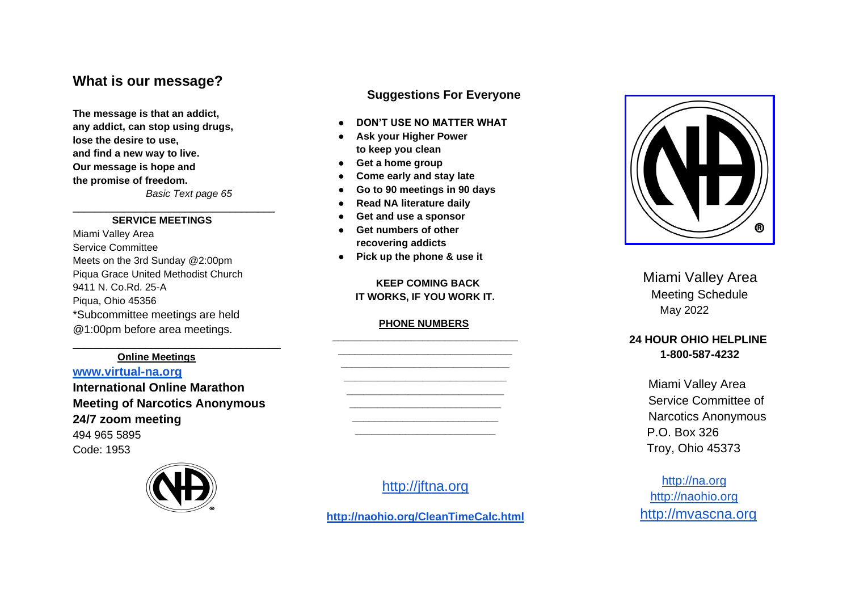# **What is our message?**

**The message is that an addict, any addict, can stop using drugs, lose the desire to use, and find a new way to live. Our message is hope and the promise of freedom.** *Basic Text page 65*

#### **SERVICE MEETINGS**

\_\_\_\_\_\_\_\_\_\_\_\_\_\_\_\_\_\_\_\_\_\_\_\_\_\_\_\_\_\_\_\_\_\_\_\_

Miami Valley Area Service Committee Meets on the 3rd Sunday @2:00pm Piqua Grace United Methodist Church 9411 N. Co.Rd. 25 -A Piqua, Ohio 45356 \*Subcommittee meetings are held @1:00pm before area meetings.

#### **Online Meetings**

**[www.virtual](http://www.virtual-na.org/) -na.org International Online Marathon Meeting of Narcotics Anonymous 24/7 zoom meeting** 494 965 5895 Code: 1953

\_\_\_\_\_\_\_\_\_\_\_\_\_\_\_\_\_\_\_\_\_\_\_\_\_\_\_\_\_\_\_\_\_\_\_\_\_



## **Suggestions For Everyone**

- **DON'T USE NO MATTER WHAT**
- **Ask your Higher Power to keep you clean**
- **Get a home group**
- **Come early and stay late**
- **Go to 90 meetings in 90 days**
- **Read NA literature daily**
- **Get and use a sponsor**
- **Get numbers of other recovering addicts**
- **Pick up the phone & use it**

#### **KEEP COMING BACK IT WORKS, IF YOU WORK IT.**

#### **PHONE NUMBERS**



# [http://jftna.org](http://jftna.org/)

**<http://naohio.org/CleanTimeCalc.html>**



Miami Valley Area Meeting Schedule May 202 2

## **24 HOUR OHIO HELPLINE 1 -800 -587 -4232**

 Miami Valley Area Service Committee of Narcotics Anonymous P.O. Box 326 Troy, Ohio 45373

 [http://na.org](http://na.org/) [http://naohio.org](http://naohio.org/) [http://mvascna.org](http://mvascna.org/)